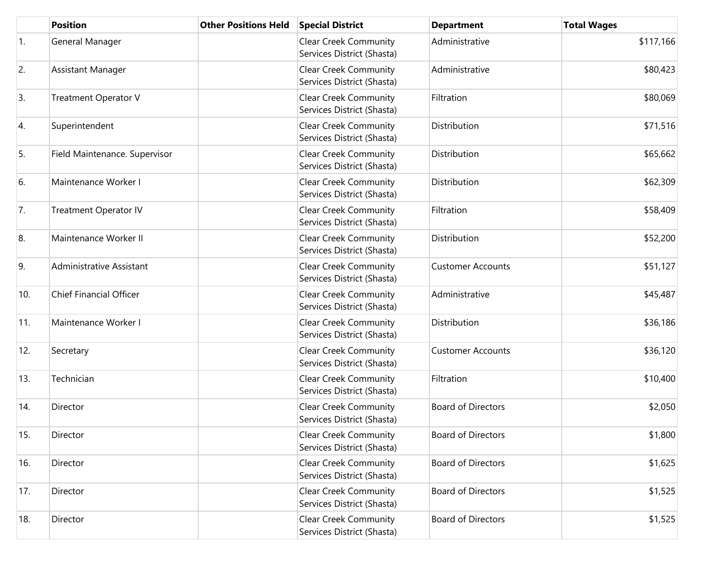|            | <b>Position</b>                | <b>Other Positions Held</b> | <b>Special District</b>                                    | <b>Department</b>         | <b>Total Wages</b> |
|------------|--------------------------------|-----------------------------|------------------------------------------------------------|---------------------------|--------------------|
| $\vert$ 1. | General Manager                |                             | <b>Clear Creek Community</b><br>Services District (Shasta) | Administrative            | \$117,166          |
| 2.         | Assistant Manager              |                             | <b>Clear Creek Community</b><br>Services District (Shasta) | Administrative            | \$80,423           |
| 3.         | <b>Treatment Operator V</b>    |                             | <b>Clear Creek Community</b><br>Services District (Shasta) | Filtration                | \$80,069           |
| 4.         | Superintendent                 |                             | <b>Clear Creek Community</b><br>Services District (Shasta) | Distribution              | \$71,516           |
| 5.         | Field Maintenance. Supervisor  |                             | <b>Clear Creek Community</b><br>Services District (Shasta) | Distribution              | \$65,662           |
| 6.         | Maintenance Worker I           |                             | <b>Clear Creek Community</b><br>Services District (Shasta) | Distribution              | \$62,309           |
| 7.         | <b>Treatment Operator IV</b>   |                             | <b>Clear Creek Community</b><br>Services District (Shasta) | Filtration                | \$58,409           |
| 8.         | Maintenance Worker II          |                             | <b>Clear Creek Community</b><br>Services District (Shasta) | Distribution              | \$52,200           |
| 9.         | Administrative Assistant       |                             | <b>Clear Creek Community</b><br>Services District (Shasta) | <b>Customer Accounts</b>  | \$51,127           |
| 10.        | <b>Chief Financial Officer</b> |                             | <b>Clear Creek Community</b><br>Services District (Shasta) | Administrative            | \$45,487           |
| 11.        | Maintenance Worker I           |                             | <b>Clear Creek Community</b><br>Services District (Shasta) | Distribution              | \$36,186           |
| 12.        | Secretary                      |                             | <b>Clear Creek Community</b><br>Services District (Shasta) | <b>Customer Accounts</b>  | \$36,120           |
| 13.        | Technician                     |                             | <b>Clear Creek Community</b><br>Services District (Shasta) | Filtration                | \$10,400           |
| 14.        | Director                       |                             | <b>Clear Creek Community</b><br>Services District (Shasta) | <b>Board of Directors</b> | \$2,050            |
| 15.        | Director                       |                             | <b>Clear Creek Community</b><br>Services District (Shasta) | <b>Board of Directors</b> | \$1,800            |
| 16.        | Director                       |                             | <b>Clear Creek Community</b><br>Services District (Shasta) | <b>Board of Directors</b> | \$1,625            |
| 17.        | Director                       |                             | <b>Clear Creek Community</b><br>Services District (Shasta) | <b>Board of Directors</b> | \$1,525            |
| 18.        | Director                       |                             | <b>Clear Creek Community</b><br>Services District (Shasta) | <b>Board of Directors</b> | \$1,525            |